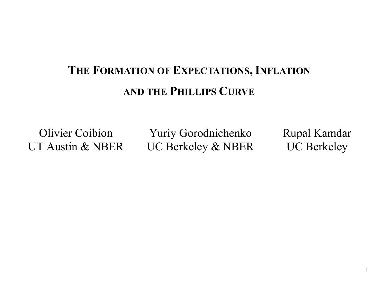# **THE FORMATION OF EXPECTATIONS, INFLATION AND THE PHILLIPS CURVE**

Olivier Coibion Yuriy Gorodnichenko Rupal Kamdar UT Austin & NBER UC Berkeley & NBER UC Berkeley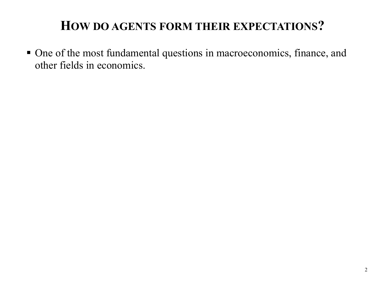One of the most fundamental questions in macroeconomics, finance, and other fields in economics.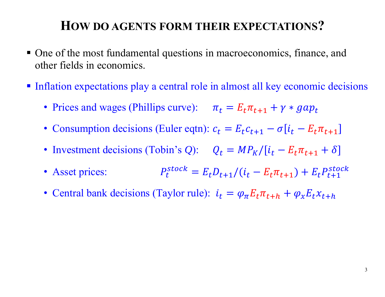- One of the most fundamental questions in macroeconomics, finance, and other fields in economics.
- Inflation expectations play a central role in almost all key economic decisions
	- Prices and wages (Phillips curve):  $\pi_t = E_t \pi_{t+1} + \gamma * gap_t$
	- Consumption decisions (Euler eqtn):  $c_t = E_t c_{t+1} \sigma[i_t E_t \pi_{t+1}]$
	- Investment decisions (Tobin's Q):  $Q_t = MP_K/[i_t E_t \pi_{t+1} + \delta]$
	- Asset prices:  $P_t^{stock} = E_t D_{t+1} / (i_t E_t \pi_{t+1}) + E_t P_{t+1}^{stock}$
	- Central bank decisions (Taylor rule):  $i_t = \varphi_\pi E_t \pi_{t+h} + \varphi_x E_t x_{t+h}$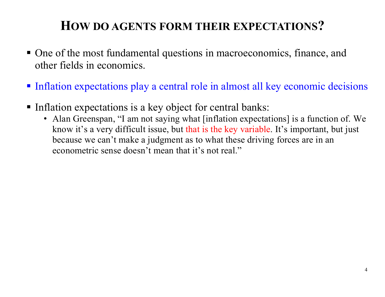- One of the most fundamental questions in macroeconomics, finance, and other fields in economics.
- Inflation expectations play a central role in almost all key economic decisions
- Inflation expectations is a key object for central banks:
	- Alan Greenspan, "I am not saying what [inflation expectations] is a function of. We know it's a very difficult issue, but that is the key variable. It's important, but just because we can't make a judgment as to what these driving forces are in an econometric sense doesn't mean that it's not real."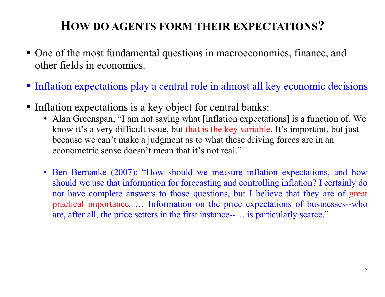- One of the most fundamental questions in macroeconomics, finance, and other fields in economics.
- Inflation expectations play a central role in almost all key economic decisions
- Inflation expectations is a key object for central banks:
	- Alan Greenspan, "I am not saying what [inflation expectations] is a function of. We know it's a very difficult issue, but that is the key variable. It's important, but just because we can't make a judgment as to what these driving forces are in an econometric sense doesn't mean that it's not real."
	- Ben Bernanke (2007): "How should we measure inflation expectations, and how should we use that information for forecasting and controlling inflation? I certainly do not have complete answers to those questions, but I believe that they are of great practical importance*.* … Information on the price expectations of businesses--who are, after all, the price setters in the first instance--… is particularly scarce."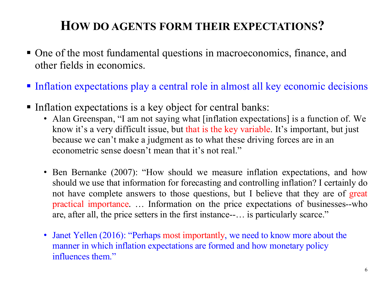- One of the most fundamental questions in macroeconomics, finance, and other fields in economics.
- Inflation expectations play a central role in almost all key economic decisions
- Inflation expectations is a key object for central banks:
	- Alan Greenspan, "I am not saying what [inflation expectations] is a function of. We know it's a very difficult issue, but that is the key variable. It's important, but just because we can't make a judgment as to what these driving forces are in an econometric sense doesn't mean that it's not real."
	- Ben Bernanke (2007): "How should we measure inflation expectations, and how should we use that information for forecasting and controlling inflation? I certainly do not have complete answers to those questions, but I believe that they are of great practical importance*.* … Information on the price expectations of businesses--who are, after all, the price setters in the first instance--… is particularly scarce."
	- Janet Yellen (2016): "Perhaps most importantly, we need to know more about the manner in which inflation expectations are formed and how monetary policy influences them."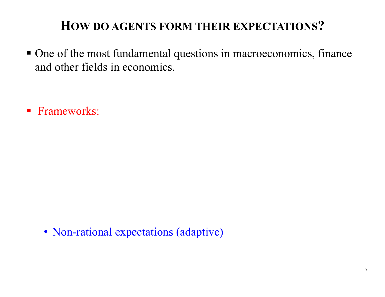One of the most fundamental questions in macroeconomics, finance and other fields in economics.

**Frameworks:** 

• Non-rational expectations (adaptive)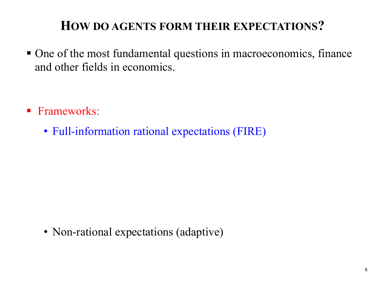One of the most fundamental questions in macroeconomics, finance and other fields in economics.

- **Frameworks:** 
	- Full-information rational expectations (FIRE)

• Non-rational expectations (adaptive)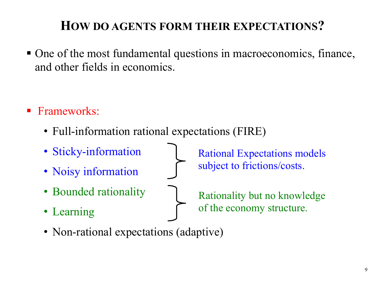• One of the most fundamental questions in macroeconomics, finance, and other fields in economics.

- Frameworks:
	- Full-information rational expectations (FIRE)
	- Sticky-information
	- Noisy information
	- Bounded rationality
	- Learning

Rational Expectations models subject to frictions/costs.

Rationality but no knowledge of the economy structure.

• Non-rational expectations (adaptive)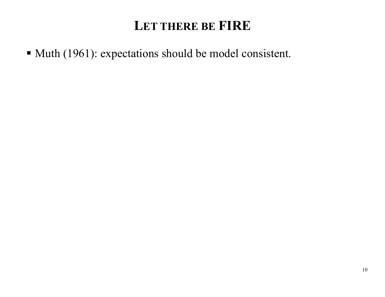• Muth (1961): expectations should be model consistent.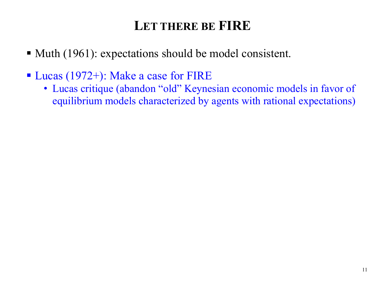- Muth (1961): expectations should be model consistent.
- Lucas (1972+): Make a case for FIRE
	- Lucas critique (abandon "old" Keynesian economic models in favor of equilibrium models characterized by agents with rational expectations)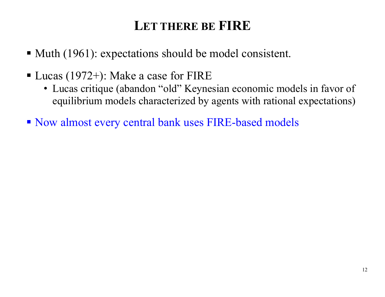- Muth (1961): expectations should be model consistent.
- Lucas (1972+): Make a case for FIRE
	- Lucas critique (abandon "old" Keynesian economic models in favor of equilibrium models characterized by agents with rational expectations)
- Now almost every central bank uses FIRE-based models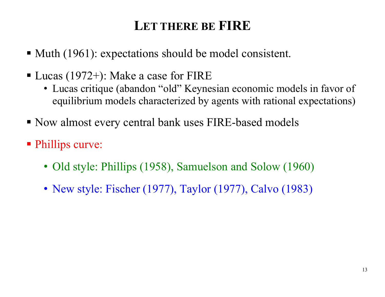- Muth (1961): expectations should be model consistent.
- Lucas (1972+): Make a case for FIRE
	- Lucas critique (abandon "old" Keynesian economic models in favor of equilibrium models characterized by agents with rational expectations)
- Now almost every central bank uses FIRE-based models
- Phillips curve:
	- Old style: Phillips (1958), Samuelson and Solow (1960)
	- New style: Fischer (1977), Taylor (1977), Calvo (1983)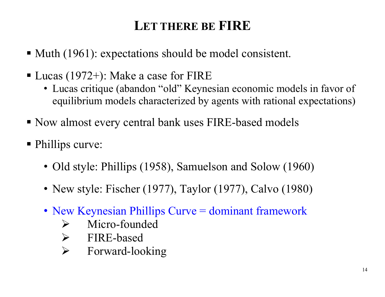- Muth (1961): expectations should be model consistent.
- Lucas (1972+): Make a case for FIRE
	- Lucas critique (abandon "old" Keynesian economic models in favor of equilibrium models characterized by agents with rational expectations)
- Now almost every central bank uses FIRE-based models
- Phillips curve:
	- Old style: Phillips (1958), Samuelson and Solow (1960)
	- New style: Fischer (1977), Taylor (1977), Calvo (1980)
	- New Keynesian Phillips Curve = dominant framework
		- $\blacktriangleright$ Micro-founded
		- > FIRE-based
		- $\blacktriangleright$ Forward-looking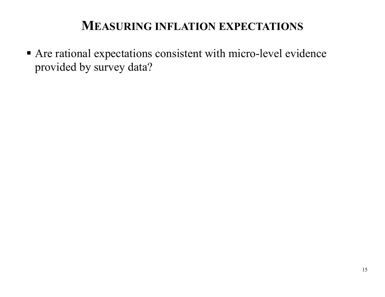Are rational expectations consistent with micro-level evidence provided by survey data?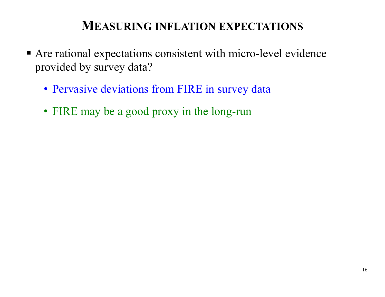- Are rational expectations consistent with micro-level evidence provided by survey data?
	- Pervasive deviations from FIRE in survey data
	- FIRE may be a good proxy in the long-run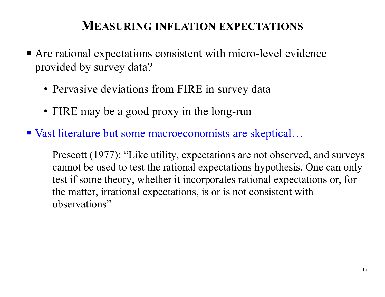- Are rational expectations consistent with micro-level evidence provided by survey data?
	- Pervasive deviations from FIRE in survey data
	- FIRE may be a good proxy in the long-run
- Vast literature but some macroeconomists are skeptical...

Prescott (1977): "Like utility, expectations are not observed, and surveys cannot be used to test the rational expectations hypothesis. One can only test if some theory, whether it incorporates rational expectations or, for the matter, irrational expectations, is or is not consistent with observations"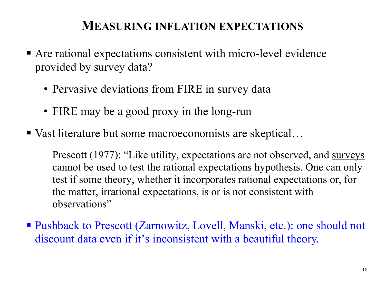- Are rational expectations consistent with micro-level evidence provided by survey data?
	- Pervasive deviations from FIRE in survey data
	- FIRE may be a good proxy in the long-run
- Vast literature but some macroeconomists are skeptical...

Prescott (1977): "Like utility, expectations are not observed, and surveys cannot be used to test the rational expectations hypothesis. One can only test if some theory, whether it incorporates rational expectations or, for the matter, irrational expectations, is or is not consistent with observations"

■ Pushback to Prescott (Zarnowitz, Lovell, Manski, etc.): one should not discount data even if it's inconsistent with a beautiful theory.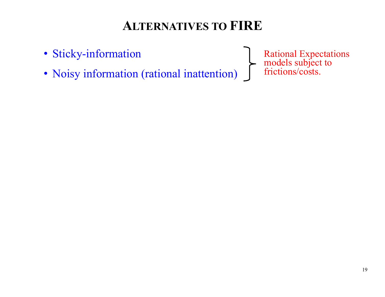## **ALTERNATIVES TO FIRE**

- Sticky-information
- Noisy information (rational inattention)

Rational Expectations models subject to frictions/costs.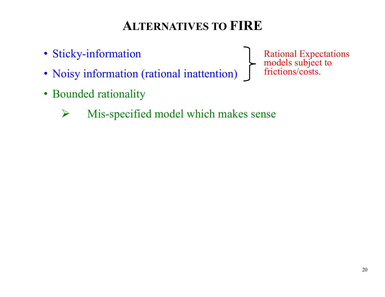# **ALTERNATIVES TO FIRE**

- Sticky-information
- Noisy information (rational inattention)
- Bounded rationality
	- $\blacktriangleright$ Mis-specified model which makes sense

Rational Expectations models subject to frictions/costs.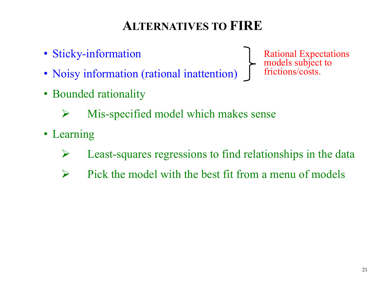# **ALTERNATIVES TO FIRE**

- Sticky-information
- Noisy information (rational inattention)
- Bounded rationality

Rational Expectations models subject to frictions/costs.

- $\sum_{i=1}^{n}$ Mis-specified model which makes sense
- Learning
	- $\triangleright$ Least-squares regressions to find relationships in the data
	- $\blacktriangleright$ Pick the model with the best fit from a menu of models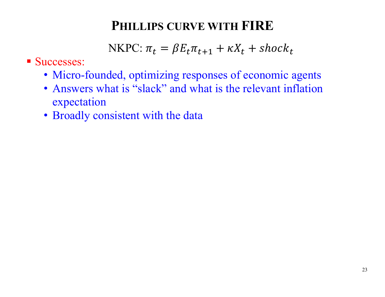- Successes:
	- Micro-founded, optimizing responses of economic agents
	- Answers what is "slack" and what is the relevant inflation expectation
	- Broadly consistent with the data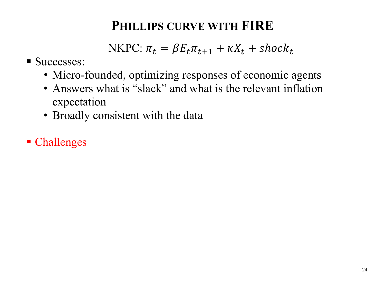- Successes:
	- Micro-founded, optimizing responses of economic agents
	- Answers what is "slack" and what is the relevant inflation expectation
	- Broadly consistent with the data
- **Challenges**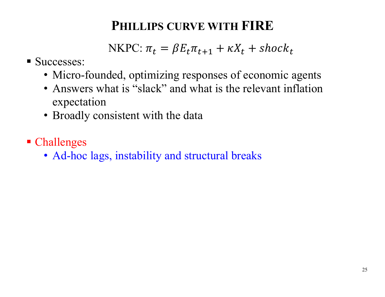- Successes:
	- Micro-founded, optimizing responses of economic agents
	- Answers what is "slack" and what is the relevant inflation expectation
	- Broadly consistent with the data
- **Challenges** 
	- Ad-hoc lags, instability and structural breaks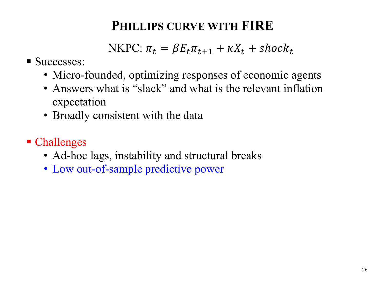- Successes:
	- Micro-founded, optimizing responses of economic agents
	- Answers what is "slack" and what is the relevant inflation expectation
	- Broadly consistent with the data
- **Challenges** 
	- Ad-hoc lags, instability and structural breaks
	- Low out-of-sample predictive power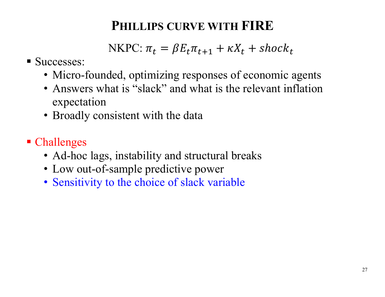- Successes:
	- Micro-founded, optimizing responses of economic agents
	- Answers what is "slack" and what is the relevant inflation expectation
	- Broadly consistent with the data
- **Challenges** 
	- Ad-hoc lags, instability and structural breaks
	- Low out-of-sample predictive power
	- Sensitivity to the choice of slack variable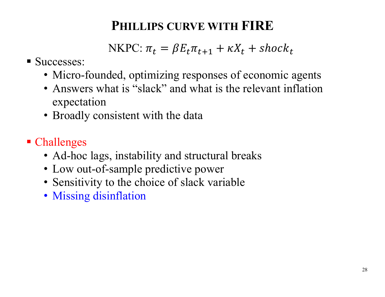- Successes:
	- Micro-founded, optimizing responses of economic agents
	- Answers what is "slack" and what is the relevant inflation expectation
	- Broadly consistent with the data
- **Challenges** 
	- Ad-hoc lags, instability and structural breaks
	- Low out-of-sample predictive power
	- Sensitivity to the choice of slack variable
	- Missing disinflation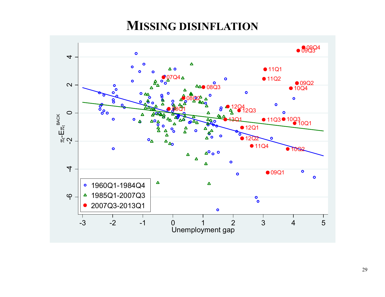#### **MISSING DISINFLATION**

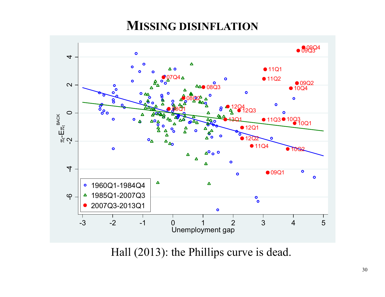#### **MISSING DISINFLATION**



Hall (2013): the Phillips curve is dead.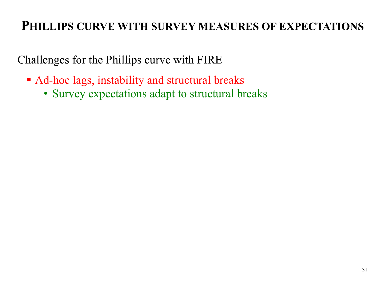- Ad-hoc lags, instability and structural breaks
	- Survey expectations adapt to structural breaks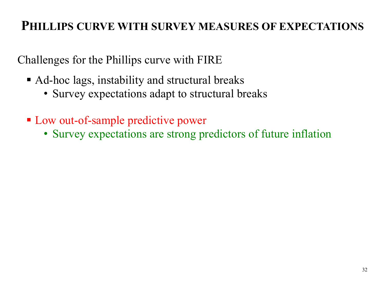- Ad-hoc lags, instability and structural breaks
	- Survey expectations adapt to structural breaks
- **Low out-of-sample predictive power** 
	- Survey expectations are strong predictors of future inflation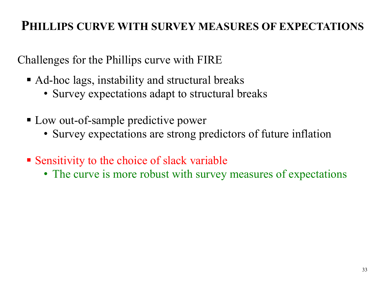- Ad-hoc lags, instability and structural breaks
	- Survey expectations adapt to structural breaks
- Low out-of-sample predictive power
	- Survey expectations are strong predictors of future inflation
- Sensitivity to the choice of slack variable
	- The curve is more robust with survey measures of expectations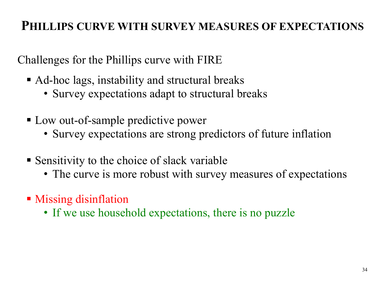- Ad-hoc lags, instability and structural breaks
	- Survey expectations adapt to structural breaks
- Low out-of-sample predictive power
	- Survey expectations are strong predictors of future inflation
- Sensitivity to the choice of slack variable
	- The curve is more robust with survey measures of expectations
- **Missing disinflation** 
	- If we use household expectations, there is no puzzle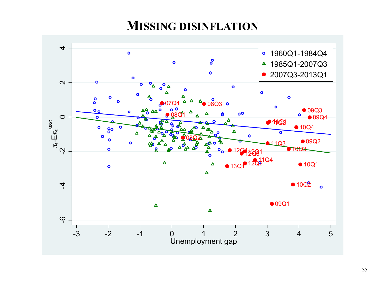#### **MISSING DISINFLATION**

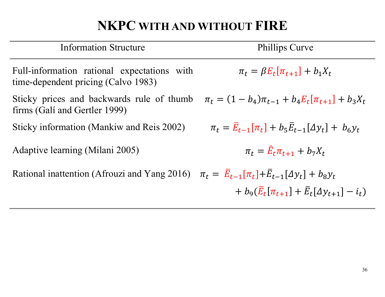# **NKPC WITH AND WITHOUT FIRE**

| <b>Information Structure</b>                                                       | <b>Phillips Curve</b>                                                    |
|------------------------------------------------------------------------------------|--------------------------------------------------------------------------|
| Full-information rational expectations with<br>time-dependent pricing (Calvo 1983) | $\pi_t = \beta E_t [\pi_{t+1}] + b_1 X_t$                                |
| Sticky prices and backwards rule of thumb<br>firms (Gali and Gertler 1999)         | $\pi_t = (1 - b_4)\pi_{t-1} + b_4E_t[\pi_{t+1}] + b_3X_t$                |
| Sticky information (Mankiw and Reis 2002)                                          | $\pi_t = \bar{E}_{t-1}[\pi_t] + b_5 \bar{E}_{t-1}[\Delta y_t] + b_6 y_t$ |
| Adaptive learning (Milani 2005)                                                    | $\pi_t = \hat{E}_t \pi_{t+1} + b_7 X_t$                                  |
| Rational inattention (Afrouzi and Yang 2016)                                       | $\pi_t = \bar{E}_{t-1}[\pi_t + \bar{E}_{t-1}[\Delta y_t] + b_8 y_t]$     |
|                                                                                    | + $b_9(\bar{E}_t[\pi_{t+1}] + \bar{E}_t[\Delta y_{t+1}] - i_t)$          |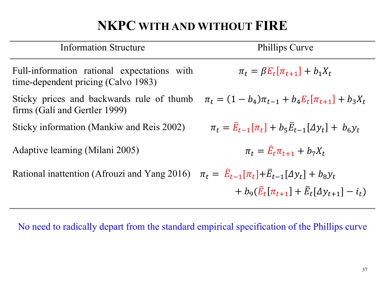# **NKPC WITH AND WITHOUT FIRE**

| <b>Information Structure</b>                                                                                      | <b>Phillips Curve</b>                                                    |
|-------------------------------------------------------------------------------------------------------------------|--------------------------------------------------------------------------|
| Full-information rational expectations with<br>time-dependent pricing (Calvo 1983)                                | $\pi_t = \beta E_t [\pi_{t+1}] + b_1 X_t$                                |
| Sticky prices and backwards rule of thumb<br>firms (Gali and Gertler 1999)                                        | $\pi_t = (1 - b_4)\pi_{t-1} + b_4E_t[\pi_{t+1}] + b_3X_t$                |
| Sticky information (Mankiw and Reis 2002)                                                                         | $\pi_t = \bar{E}_{t-1}[\pi_t] + b_5 \bar{E}_{t-1}[\Delta y_t] + b_6 y_t$ |
| Adaptive learning (Milani 2005)                                                                                   | $\pi_t = \hat{E}_t \pi_{t+1} + b_7 X_t$                                  |
| Rational inattention (Afrouzi and Yang 2016) $\pi_t = \bar{E}_{t-1}[\pi_t] + \bar{E}_{t-1}[\Delta y_t] + b_8 y_t$ |                                                                          |
|                                                                                                                   | $+ b_9(\bar{E}_t[\pi_{t+1}] + \bar{E}_t[\Delta y_{t+1}] - i_t)$          |

No need to radically depart from the standard empirical specification of the Phillips curve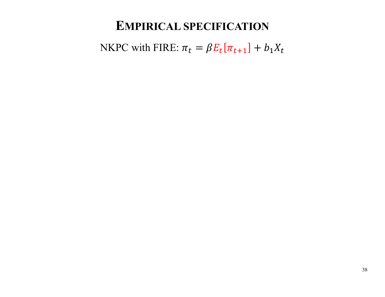NKPC with FIRE:  $\pi_t = \beta E_t[\pi_{t+1}] + b_1 X_t$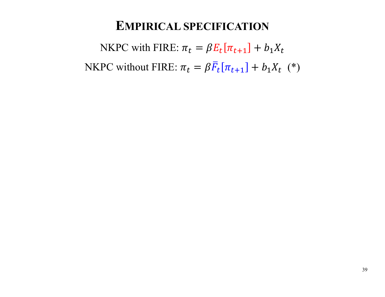NKPC with FIRE:  $\pi_t = \beta E_t[\pi_{t+1}] + b_1 X_t$ NKPC without FIRE:  $\pi_t = \beta \bar{F}_t$  $\bar{F}_t[\pi_{t+1}] + b_1 X_t$  (\*)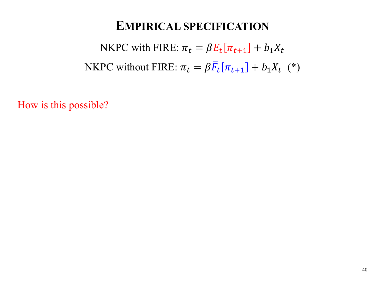NKPC with FIRE:  $\pi_t = \beta E_t[\pi_{t+1}] + b_1 X_t$ NKPC without FIRE:  $\pi_t = \beta \bar{F}_t$  $\bar{F}_t[\pi_{t+1}] + b_1 X_t$  (\*)

How is this possible?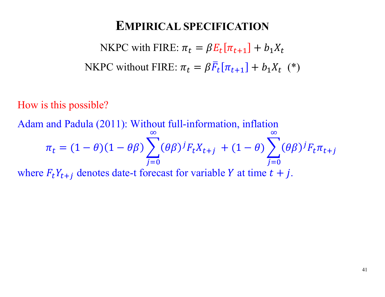NKPC with FIRE:  $\pi_t = \beta E_t[\pi_{t+1}] + b_1 X_t$ NKPC without FIRE:  $\pi_t = \beta \bar{F}_t$  $\bar{F}_t[\pi_{t+1}] + b_1 X_t$  (\*)

How is this possible?

Adam and Padula (2011): Without full-information, inflation

$$
\pi_t = (1 - \theta)(1 - \theta \beta) \sum_{j=0}^{\infty} (\theta \beta)^j F_t X_{t+j} + (1 - \theta) \sum_{j=0}^{\infty} (\theta \beta)^j F_t \pi_{t+j}
$$

where  $F_t Y_{t+j}$  denotes date-t forecast for variable Y at time  $t + j$ .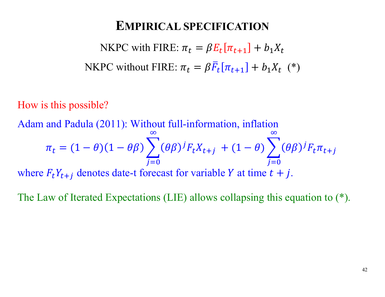NKPC with FIRE:  $\pi_t = \beta E_t[\pi_{t+1}] + b_1 X_t$ NKPC without FIRE:  $\pi_t = \beta \bar{F}_t$  $\bar{F}_t[\pi_{t+1}] + b_1 X_t$  (\*)

How is this possible?

Adam and Padula (2011): Without full-information, inflation

$$
\pi_t = (1 - \theta)(1 - \theta \beta) \sum_{j=0}^{\infty} (\theta \beta)^j F_t X_{t+j} + (1 - \theta) \sum_{j=0}^{\infty} (\theta \beta)^j F_t \pi_{t+j}
$$

where  $F_t Y_{t+i}$  denotes date-t forecast for variable Y at time  $t + j$ .

The Law of Iterated Expectations (LIE) allows collapsing this equation to (\*).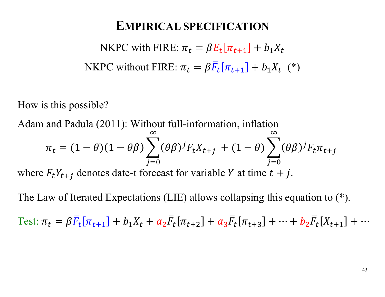NKPC with FIRE:  $\pi_t = \beta E_t[\pi_{t+1}] + b_1 X_t$ NKPC without FIRE:  $\pi_t = \beta \bar{F}_t$  $\bar{F}_t[\pi_{t+1}] + b_1 X_t$  (\*)

How is this possible?

Adam and Padula (2011): Without full-information, inflation

$$
\pi_t = (1 - \theta)(1 - \theta \beta) \sum_{j=0}^{\infty} (\theta \beta)^j F_t X_{t+j} + (1 - \theta) \sum_{j=0}^{\infty} (\theta \beta)^j F_t \pi_{t+j}
$$

where  $F_t Y_{t+i}$  denotes date-t forecast for variable Y at time  $t + j$ .

The Law of Iterated Expectations (LIE) allows collapsing this equation to (\*).

Test:  $\pi_t = \beta \bar{F}_t$  $\overline{F}_t[\pi_{t+1}] + b_1X_t + a_2\overline{F}_t$  $\bar{F}_t[\pi_{t+2}]+a_3\bar{F}_t$  $\bar{F}_t[\pi_{t+3}]+\dots+b_2\bar{F}_t$  $F_t[X_{t+1}] + \cdots$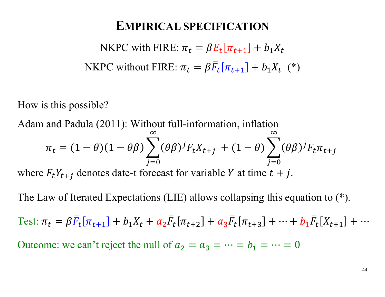NKPC with FIRE:  $\pi_t = \beta E_t[\pi_{t+1}] + b_1 X_t$ NKPC without FIRE:  $\pi_t = \beta \bar{F}_t$  $\bar{F}_t[\pi_{t+1}] + b_1 X_t$  (\*)

How is this possible?

Adam and Padula (2011): Without full-information, inflation

$$
\pi_t = (1 - \theta)(1 - \theta \beta) \sum_{j=0}^{\infty} (\theta \beta)^j F_t X_{t+j} + (1 - \theta) \sum_{j=0}^{\infty} (\theta \beta)^j F_t \pi_{t+j}
$$

where  $F_t Y_{t+i}$  denotes date-t forecast for variable Y at time  $t + j$ .

The Law of Iterated Expectations (LIE) allows collapsing this equation to (\*).

Test:  $\pi_t = \beta \bar{F}_t$  $\overline{F}_t[\pi_{t+1}] + b_1X_t + a_2\overline{F}_t$  $\bar{F}_t[\pi_{t+2}]+a_3\bar{F}_t$  $\bar{F}_t[\pi_{t+3}]+\dots+b_1\bar{F}_t$  $F_t[X_{t+1}] + \cdots$ Outcome: we can't reject the null of  $a_2 = a_3 = \cdots = b_1 = \cdots = 0$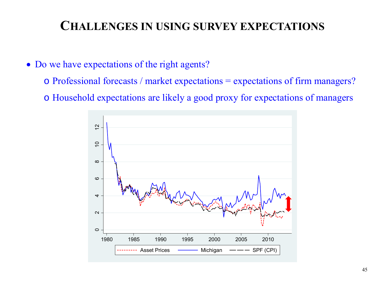### **CHALLENGES IN USING SURVEY EXPECTATIONS**

- Do we have expectations of the right agents?
	- o Professional forecasts / market expectations = expectations of firm managers?
	- o Household expectations are likely a good proxy for expectations of managers

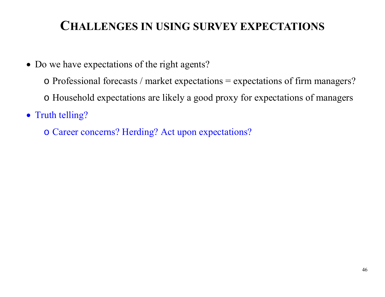## **CHALLENGES IN USING SURVEY EXPECTATIONS**

- Do we have expectations of the right agents?
	- o Professional forecasts / market expectations = expectations of firm managers?
	- o Household expectations are likely a good proxy for expectations of managers
- Truth telling?
	- o Career concerns? Herding? Act upon expectations?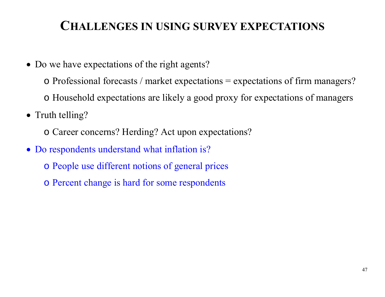## **CHALLENGES IN USING SURVEY EXPECTATIONS**

- Do we have expectations of the right agents?
	- o Professional forecasts / market expectations = expectations of firm managers?
	- o Household expectations are likely a good proxy for expectations of managers
- Truth telling?
	- o Career concerns? Herding? Act upon expectations?
- Do respondents understand what inflation is?
	- o People use different notions of general prices
	- o Percent change is hard for some respondents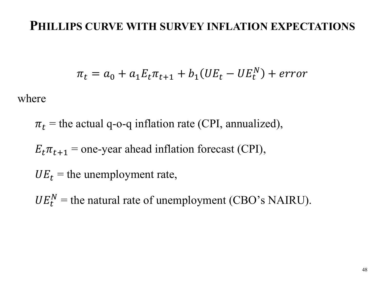#### **PHILLIPS CURVE WITH SURVEY INFLATION EXPECTATIONS**

$$
\pi_t = a_0 + a_1 E_t \pi_{t+1} + b_1 (U E_t - U E_t^N) + error
$$

where

 $\pi_t$  = the actual q-o-q inflation rate (CPI, annualized),

 $E_t \pi_{t+1}$  = one-year ahead inflation forecast (CPI),

 $UE_t$  = the unemployment rate,

 $UE_t^N$  = the natural rate of unemployment (CBO's NAIRU).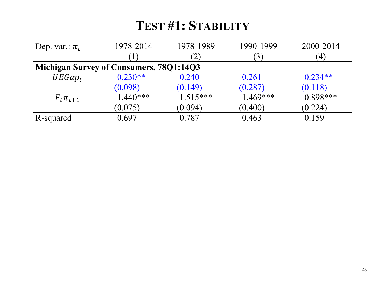## **TEST #1: STABILITY**

| Dep. var.: $\pi_t$                             | 1978-2014  | 1978-1989         | 1990-1999      | 2000-2014        |
|------------------------------------------------|------------|-------------------|----------------|------------------|
|                                                |            | $\left( 2\right)$ | $\mathfrak{B}$ | $\left(4\right)$ |
| <b>Michigan Survey of Consumers, 78Q1:14Q3</b> |            |                   |                |                  |
| $UEGap_t$                                      | $-0.230**$ | $-0.240$          | $-0.261$       | $-0.234**$       |
|                                                | (0.098)    | (0.149)           | (0.287)        | (0.118)          |
| $E_t \pi_{t+1}$                                | $1.440***$ | $1.515***$        | $1.469***$     | $0.898***$       |
|                                                | (0.075)    | (0.094)           | (0.400)        | (0.224)          |
| R-squared                                      | 0.697      | $0.787\,$         | 0.463          | 0.159            |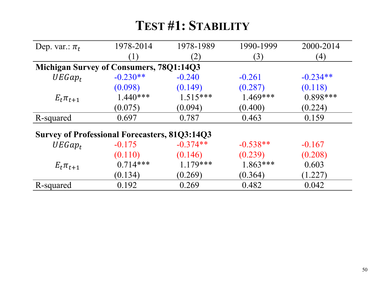## **TEST #1: STABILITY**

| Dep. var.: $\pi_t$                                   | 1978-2014  | 1978-1989  | 1990-1999  | 2000-2014        |  |
|------------------------------------------------------|------------|------------|------------|------------------|--|
|                                                      |            | (2)        | (3)        | $\left(4\right)$ |  |
| <b>Michigan Survey of Consumers, 78Q1:14Q3</b>       |            |            |            |                  |  |
| $UEGap_t$                                            | $-0.230**$ | $-0.240$   | $-0.261$   | $-0.234**$       |  |
|                                                      | (0.098)    | (0.149)    | (0.287)    | (0.118)          |  |
| $E_t \pi_{t+1}$                                      | $1.440***$ | $1.515***$ | $1.469***$ | $0.898***$       |  |
|                                                      | (0.075)    | (0.094)    | (0.400)    | (0.224)          |  |
| R-squared                                            | 0.697      | 0.787      | 0.463      | 0.159            |  |
| <b>Survey of Professional Forecasters, 81Q3:14Q3</b> |            |            |            |                  |  |
| $UEGap_t$                                            | $-0.175$   | $-0.374**$ | $-0.538**$ | $-0.167$         |  |
|                                                      | (0.110)    | (0.146)    | (0.239)    | (0.208)          |  |
| $E_t \pi_{t+1}$                                      | $0.714***$ | $1.179***$ | $1.863***$ | 0.603            |  |
|                                                      | (0.134)    | (0.269)    | (0.364)    | (1.227)          |  |
| R-squared                                            | 0.192      | 0.269      | 0.482      | 0.042            |  |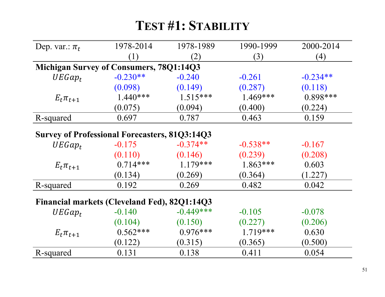# **TEST #1: STABILITY**

| Dep. var.: $\pi_t$                                   | 1978-2014        | 1978-1989   | 1990-1999  | 2000-2014  |  |
|------------------------------------------------------|------------------|-------------|------------|------------|--|
|                                                      | $\left(1\right)$ | (2)         | (3)        | (4)        |  |
| <b>Michigan Survey of Consumers, 78Q1:14Q3</b>       |                  |             |            |            |  |
| $UEGap_t$                                            | $-0.230**$       | $-0.240$    | $-0.261$   | $-0.234**$ |  |
|                                                      | (0.098)          | (0.149)     | (0.287)    | (0.118)    |  |
| $E_t \pi_{t+1}$                                      | $1.440***$       | $1.515***$  | $1.469***$ | $0.898***$ |  |
|                                                      | (0.075)          | (0.094)     | (0.400)    | (0.224)    |  |
| R-squared                                            | 0.697            | 0.787       | 0.463      | 0.159      |  |
| <b>Survey of Professional Forecasters, 81Q3:14Q3</b> |                  |             |            |            |  |
| $UEGap_t$                                            | $-0.175$         | $-0.374**$  | $-0.538**$ | $-0.167$   |  |
|                                                      | (0.110)          | (0.146)     | (0.239)    | (0.208)    |  |
| $E_t \pi_{t+1}$                                      | $0.714***$       | $1.179***$  | $1.863***$ | 0.603      |  |
|                                                      | (0.134)          | (0.269)     | (0.364)    | (1.227)    |  |
| R-squared                                            | 0.192            | 0.269       | 0.482      | 0.042      |  |
| <b>Financial markets (Cleveland Fed), 82Q1:14Q3</b>  |                  |             |            |            |  |
| $UEGap_t$                                            | $-0.140$         | $-0.449***$ | $-0.105$   | $-0.078$   |  |
|                                                      | (0.104)          | (0.150)     | (0.227)    | (0.206)    |  |
| $E_t \pi_{t+1}$                                      | $0.562***$       | $0.976***$  | $1.719***$ | 0.630      |  |
|                                                      | (0.122)          | (0.315)     | (0.365)    | (0.500)    |  |
| R-squared                                            | 0.131            | 0.138       | 0.411      | 0.054      |  |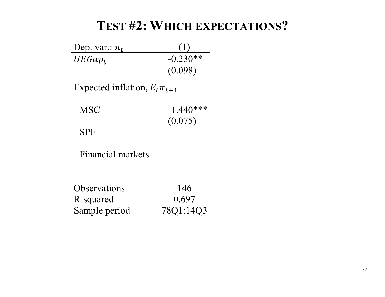## **TEST #2: WHICH EXPECTATIONS?**

| Dep. var.: $\pi_t$                  |            |
|-------------------------------------|------------|
| $UEGap_t$                           | $-0.230**$ |
|                                     | (0.098)    |
| Expected inflation, $E_t \pi_{t+1}$ |            |
| <b>MSC</b>                          | $1.440***$ |
|                                     | (0.075)    |
| <b>SPF</b>                          |            |
| <b>Financial markets</b>            |            |
|                                     |            |
| <b>Observations</b>                 | 146        |
| R-squared                           | 0.697      |
| Sample period                       | 78Q1:14    |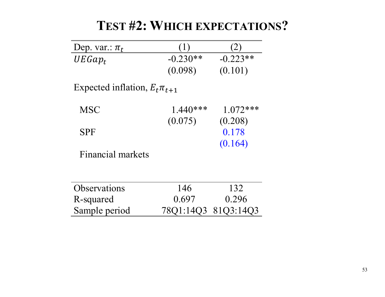| Dep. var.: $\pi_t$                  |                     |            |
|-------------------------------------|---------------------|------------|
| $UEGap_t$                           | $-0.230**$          | $-0.223**$ |
|                                     | (0.098)             | (0.101)    |
| Expected inflation, $E_t \pi_{t+1}$ |                     |            |
| <b>MSC</b>                          | $1.440***$          | $1.072***$ |
|                                     | (0.075)             | (0.208)    |
| <b>SPF</b>                          |                     | 0.178      |
|                                     |                     | (0.164)    |
| Financial markets                   |                     |            |
|                                     |                     |            |
| <b>Observations</b>                 | 146                 | 132        |
| R-squared                           | 0.697               | 0.296      |
| Sample period                       | 78Q1:14Q3 81Q3:14Q3 |            |

**TEST #2: WHICH EXPECTATIONS?**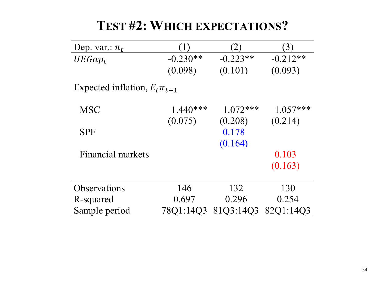| Dep. var.: $\pi_t$                  |            | 2          | (3)        |
|-------------------------------------|------------|------------|------------|
| $UEGap_t$                           | $-0.230**$ | $-0.223**$ | $-0.212**$ |
|                                     | (0.098)    | (0.101)    | (0.093)    |
| Expected inflation, $E_t \pi_{t+1}$ |            |            |            |
| <b>MSC</b>                          | $1.440***$ | $1.072***$ | $1.057***$ |
|                                     | (0.075)    | (0.208)    | (0.214)    |
| <b>SPF</b>                          |            | 0.178      |            |
|                                     |            | (0.164)    |            |
| Financial markets                   |            |            | 0.103      |
|                                     |            |            | (0.163)    |
| Observations                        | 146        | 132        | 130        |
| R-squared                           | 0.697      | 0.296      | 0.254      |
| Sample period                       | 78Q1:14Q3  | 8103:1403  | 82Q1:14Q3  |

## **TEST #2: WHICH EXPECTATIONS?**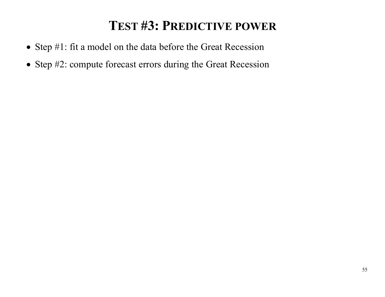## **TEST #3: PREDICTIVE POWER**

- Step #1: fit a model on the data before the Great Recession
- Step #2: compute forecast errors during the Great Recession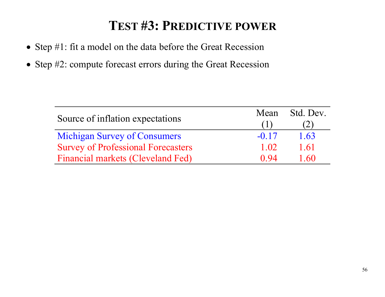# **TEST #3: PREDICTIVE POWER**

- Step #1: fit a model on the data before the Great Recession
- Step #2: compute forecast errors during the Great Recession

|                                           | Mean    | Std. Dev. |
|-------------------------------------------|---------|-----------|
| Source of inflation expectations          |         |           |
| <b>Michigan Survey of Consumers</b>       | $-0.17$ | 1.63      |
| <b>Survey of Professional Forecasters</b> | 1.02    | 1.61      |
| <b>Financial markets (Cleveland Fed)</b>  | 0.94    | 1.60      |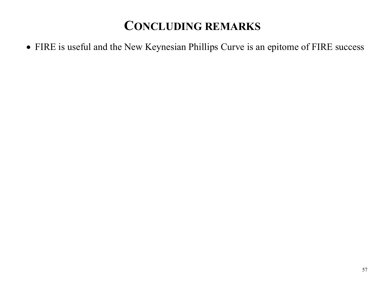FIRE is useful and the New Keynesian Phillips Curve is an epitome of FIRE success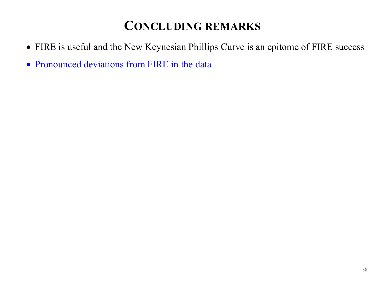- FIRE is useful and the New Keynesian Phillips Curve is an epitome of FIRE success
- Pronounced deviations from FIRE in the data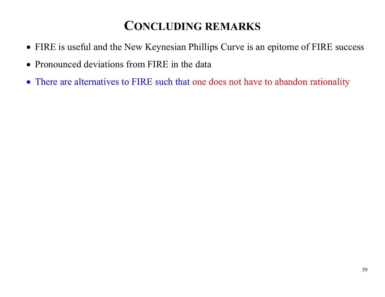- FIRE is useful and the New Keynesian Phillips Curve is an epitome of FIRE success
- Pronounced deviations from FIRE in the data
- There are alternatives to FIRE such that one does not have to abandon rationality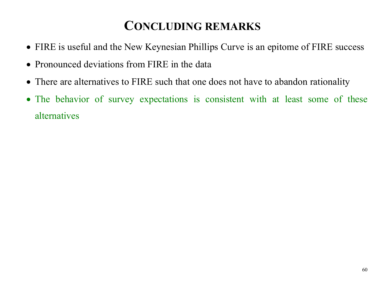- FIRE is useful and the New Keynesian Phillips Curve is an epitome of FIRE success
- Pronounced deviations from FIRE in the data
- There are alternatives to FIRE such that one does not have to abandon rationality
- The behavior of survey expectations is consistent with at least some of these alternatives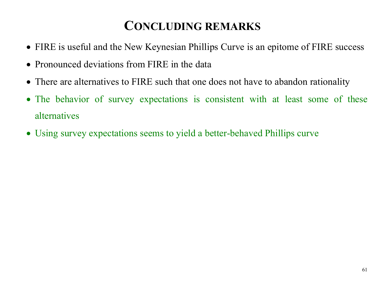- FIRE is useful and the New Keynesian Phillips Curve is an epitome of FIRE success
- Pronounced deviations from FIRE in the data
- There are alternatives to FIRE such that one does not have to abandon rationality
- The behavior of survey expectations is consistent with at least some of these alternatives
- Using survey expectations seems to yield a better-behaved Phillips curve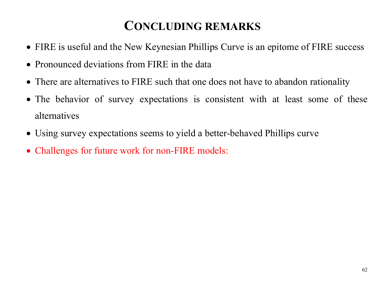- FIRE is useful and the New Keynesian Phillips Curve is an epitome of FIRE success
- Pronounced deviations from FIRE in the data
- There are alternatives to FIRE such that one does not have to abandon rationality
- The behavior of survey expectations is consistent with at least some of these alternatives
- Using survey expectations seems to yield a better-behaved Phillips curve
- Challenges for future work for non-FIRE models: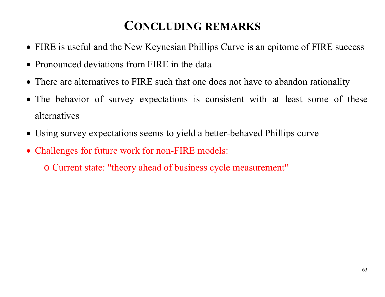- FIRE is useful and the New Keynesian Phillips Curve is an epitome of FIRE success
- Pronounced deviations from FIRE in the data
- There are alternatives to FIRE such that one does not have to abandon rationality
- The behavior of survey expectations is consistent with at least some of these alternatives
- Using survey expectations seems to yield a better-behaved Phillips curve
- Challenges for future work for non-FIRE models:

o Current state: "theory ahead of business cycle measurement"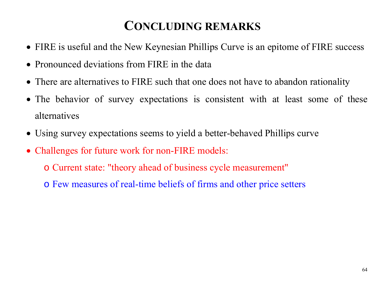- FIRE is useful and the New Keynesian Phillips Curve is an epitome of FIRE success
- Pronounced deviations from FIRE in the data
- There are alternatives to FIRE such that one does not have to abandon rationality
- The behavior of survey expectations is consistent with at least some of these alternatives
- Using survey expectations seems to yield a better-behaved Phillips curve
- Challenges for future work for non-FIRE models:
	- o Current state: "theory ahead of business cycle measurement"
	- o Few measures of real-time beliefs of firms and other price setters